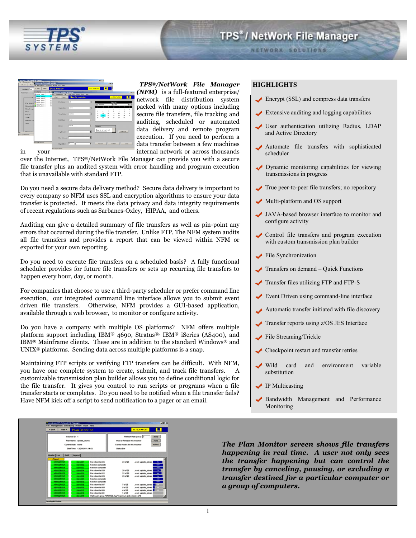

**NETWORK SOLUTIONS** 

**Tall**  $\sqrt{34.57 \cdot 37.09}$  car  $\frac{1}{2}$ 

*TPS®/NetWork File Manager* 

*(NFM)* is a full-featured enterprise/ network file distribution system packed with many options including secure file transfers, file tracking and auditing, scheduled or automated data delivery and remote program execution. If you need to perform a data transfer between a few machines in your internal network or across thousands

over the Internet, TPS®/NetWork File Manager can provide you with a secure file transfer plus an audited system with error handling and program execution that is unavailable with standard FTP.

Do you need a secure data delivery method? Secure data delivery is important to every company so NFM uses SSL and encryption algorithms to ensure your data transfer is protected. It meets the data privacy and data integrity requirements of recent regulations such as Sarbanes-Oxley, HIPAA, and others.

Auditing can give a detailed summary of file transfers as well as pin-point any errors that occurred during the file transfer. Unlike FTP, The NFM system audits all file transfers and provides a report that can be viewed within NFM or exported for your own reporting.

Do you need to execute file transfers on a scheduled basis? A fully functional scheduler provides for future file transfers or sets up recurring file transfers to happen every hour, day, or month.

For companies that choose to use a third-party scheduler or prefer command line execution, our integrated command line interface allows you to submit event driven file transfers. Otherwise, NFM provides a GUI-based application, available through a web browser, to monitor or configure activity.

Do you have a company with multiple OS platforms? NFM offers multiple platform support including IBM*®* 4690, Stratus*®,* IBM*®* iSeries (AS400), and IBM*®* Mainframe clients. These are in addition to the standard Windows*®* and UNIX*®* platforms. Sending data across multiple platforms is a snap.

Maintaining FTP scripts or verifying FTP transfers can be difficult. With NFM, you have one complete system to create, submit, and track file transfers. A customizable transmission plan builder allows you to define conditional logic for the file transfer. It gives you control to run scripts or programs when a file transfer starts or completes. Do you need to be notified when a file transfer fails? Have NFM kick off a script to send notification to a pager or an email.

# **HIGHLIGHTS**

- Encrypt (SSL) and compress data transfers
- Extensive auditing and logging capabilities
- User authentication utilizing Radius, LDAP and Active Directory
- Automate file transfers with sophisticated scheduler
- Dynamic monitoring capabilities for viewing transmissions in progress
- True peer-to-peer file transfers; no repository
- Multi-platform and OS support
- JAVA-based browser interface to monitor and configure activity
- Control file transfers and program execution with custom transmission plan builder
- File Synchronization
- $\blacktriangleright$  Transfers on demand Quick Functions
- Transfer files utilizing FTP and FTP-S
- Event Driven using command-line interface
- Automatic transfer initiated with file discovery
- Transfer reports using z/OS JES Interface
- File Streaming/Trickle
- Checkpoint restart and transfer retries
- Wild card and environment variable substitution
- **◆ IP Multicasting**
- Bandwidth Management and Performance Monitoring

 $\mathbf{r}$ **ANY** vius leur lu

*The Plan Monitor screen shows file transfers happening in real time. A user not only sees the transfer happening but can control the transfer by canceling, pausing, or excluding a transfer destined for a particular computer or a group of computers.*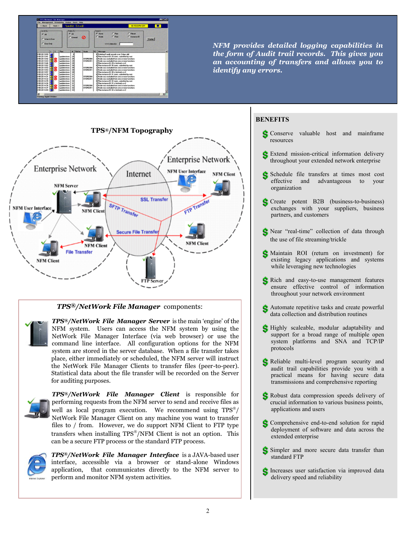

*NFM provides detailed logging capabilities in the form of Audit trail records. This gives you an accounting of transfers and allows you to identify any errors.*



# *TPS®/NetWork File Manager* components:

*TPS®/NetWork File Manager Server* is the main 'engine' of the NFM system. Users can access the NFM system by using the NetWork File Manager Interface (via web browser) or use the command line interface. All configuration options for the NFM system are stored in the server database. When a file transfer takes place, either immediately or scheduled, the NFM server will instruct the NetWork File Manager Clients to transfer files (peer-to-peer). Statistical data about the file transfer will be recorded on the Server for auditing purposes.



*TPS®/NetWork File Manager Client* is responsible for performing requests from the NFM server to send and receive files as well as local program execution. We recommend using  $TPS^{\circ}\!/$ NetWork File Manager Client on any machine you want to transfer files to / from. However, we do support NFM Client to FTP type transfers when installing TPS®/NFM Client is not an option. This can be a secure FTP process or the standard FTP process.



*TPS®/NetWork File Manager Interface* is a JAVA-based user interface, accessible via a browser or stand-alone Windows application, that communicates directly to the NFM server to perform and monitor NFM system activities.

# **BENEFITS**

- S Conserve valuable host and mainframe resources
- S Extend mission-critical information delivery throughout your extended network enterprise
- Schedule file transfers at times most cost effective and advantageous to your organization
- Create potent B2B (business-to-business) exchanges with your suppliers, business partners, and customers
- S Near "real-time" collection of data through the use of file streaming/trickle
- Maintain ROI (return on investment) for existing legacy applications and systems while leveraging new technologies
- S Rich and easy-to-use management features ensure effective control of information throughout your network environment
- Automate repetitive tasks and create powerful data collection and distribution routines
- S Highly scaleable, modular adaptability and support for a broad range of multiple open system platforms and SNA and TCP/IP protocols
- S Reliable multi-level program security and audit trail capabilities provide you with a practical means for having secure data transmissions and comprehensive reporting
- S Robust data compression speeds delivery of crucial information to various business points, applications and users
- Comprehensive end-to-end solution for rapid deployment of software and data across the extended enterprise
- Simpler and more secure data transfer than standard FTP
- S Increases user satisfaction via improved data delivery speed and reliability